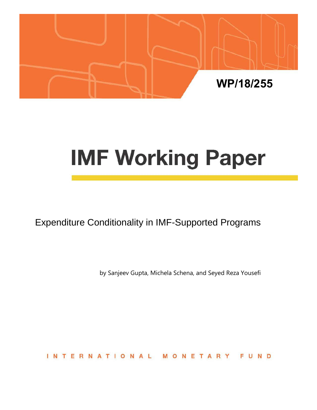

# **IMF Working Paper**

Expenditure Conditionality in IMF-Supported Programs

by Sanjeev Gupta, Michela Schena, and Seyed Reza Yousefi

**INTERNATIONA** NETAR FUND - 11 M  $\circ$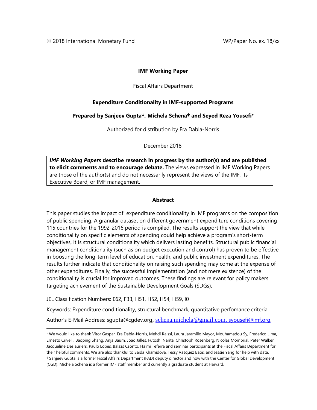# **IMF Working Paper**

#### Fiscal Affairs Department

# **Expenditure Conditionality in IMF-supported Programs**

# **Prepared by Sanjeev Gupta<sup>ψ</sup>, Michela Schena<sup>ψ</sup> and Seyed Reza Yousefi**[∗](#page-1-0)

Authorized for distribution by Era Dabla-Norris

December 2018

*IMF Working Papers* **describe research in progress by the author(s) and are published to elicit comments and to encourage debate.** The views expressed in IMF Working Papers are those of the author(s) and do not necessarily represent the views of the IMF, its Executive Board, or IMF management.

# **Abstract**

This paper studies the impact of expenditure conditionality in IMF programs on the composition of public spending. A granular dataset on different government expenditure conditions covering 115 countries for the 1992-2016 period is compiled. The results support the view that while conditionality on specific elements of spending could help achieve a program's short-term objectives, it is structural conditionality which delivers lasting benefits. Structural public financial management conditionality (such as on budget execution and control) has proven to be effective in boosting the long-term level of education, health, and public investment expenditures. The results further indicate that conditionality on raising such spending may come at the expense of other expenditures. Finally, the successful implementation (and not mere existence) of the conditionality is crucial for improved outcomes. These findings are relevant for policy makers targeting achievement of the Sustainable Development Goals (SDGs).

JEL Classification Numbers: E62, F33, H51, H52, H54, H59, I0

Keywords: Expenditure conditionality, structural benchmark, quantitative perfomance criteria

Author's E-Mail Address: sgupta@cgdev.org, [schena.michela@gmail.com,](mailto:schena.michela@gmail.com) [syousefi@imf.org.](mailto:syousefi@imf.org)

<span id="page-1-0"></span><sup>∗</sup> We would like to thank Vitor Gaspar, Era Dabla-Norris, Mehdi Raissi, Laura Jaramillo Mayor, Mouhamadou Sy, Frederico Lima, Ernesto Crivelli, Baoping Shang, Anja Baum, Joao Jalles, Futoshi Narita, Christoph Rosenberg, Nicolas Mombrial, Peter Walker, Jacqueline Deslauriers, Paulo Lopes, Balazs Csonto, Haimi Teferra and seminar participants at the Fiscal Affairs Department for their helpful comments. We are also thankful to Saida Khamidova, Tessy Vasquez Baos, and Jessie Yang for help with data. <sup>ψ</sup> Sanjeev Gupta is a former Fiscal Affairs Department (FAD) deputy director and now with the Center for Global Development (CGD). Michela Schena is a former IMF staff member and currently a graduate student at Harvard.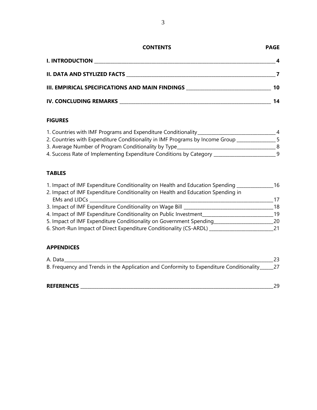| <b>PAGE</b> |
|-------------|
|             |

| <b>I. INTRODUCTION</b>                          |    |
|-------------------------------------------------|----|
| II. DATA AND STYLIZED FACTS                     |    |
| III. EMPIRICAL SPECIFICATIONS AND MAIN FINDINGS | 10 |

| <b>IV. CONCLUDING REMARKS</b> |  |
|-------------------------------|--|

# **FIGURES**

| 1. Countries with IMF Programs and Expenditure Conditionality                | 4 |
|------------------------------------------------------------------------------|---|
| 2. Countries with Expenditure Conditionality in IMF Programs by Income Group |   |
| 3. Average Number of Program Conditionality by Type                          | 8 |
| 4. Success Rate of Implementing Expenditure Conditions by Category           | q |

# **TABLES**

| 1. Impact of IMF Expenditure Conditionality on Health and Education Spending    | 16  |
|---------------------------------------------------------------------------------|-----|
| 2. Impact of IMF Expenditure Conditionality on Health and Education Spending in |     |
| <b>EMs and LIDCs</b>                                                            | 17  |
| 3. Impact of IMF Expenditure Conditionality on Wage Bill                        | 18  |
| 4. Impact of IMF Expenditure Conditionality on Public Investment                | 19  |
| 5. Impact of IMF Expenditure Conditionality on Government Spending              | 20. |
| 6. Short-Run Impact of Direct Expenditure Conditionality (CS-ARDL)              |     |

# **APPENDICES**

| B. Frequency and Trends in the Application and Conformity to Expenditure Conditionality______27 |
|-------------------------------------------------------------------------------------------------|
|                                                                                                 |
|                                                                                                 |

| <b>REFERENCES</b> | - |  |
|-------------------|---|--|
|                   |   |  |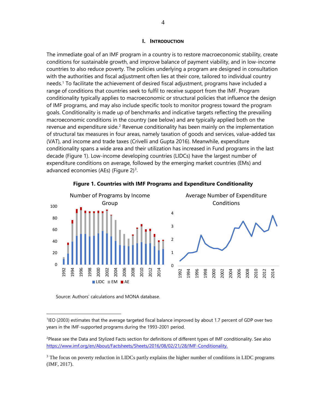#### **I. INTRODUCTION**

The immediate goal of an IMF program in a country is to restore macroeconomic stability, create conditions for sustainable growth, and improve balance of payment viability, and in low-income countries to also reduce poverty. The policies underlying a program are designed in consultation with the authorities and fiscal adjustment often lies at their core, tailored to individual country needs[.1](#page-3-0) To facilitate the achievement of desired fiscal adjustment, programs have included a range of conditions that countries seek to fulfil to receive support from the IMF. Program conditionality typically applies to macroeconomic or structural policies that influence the design of IMF programs, and may also include specific tools to monitor progress toward the program goals. Conditionality is made up of benchmarks and indicative targets reflecting the prevailing macroeconomic conditions in the country (see below) and are typically applied both on the revenue and expenditure side.<sup>[2](#page-3-1)</sup> Revenue conditionality has been mainly on the implementation of structural tax measures in four areas, namely taxation of goods and services, value-added tax (VAT), and income and trade taxes (Crivelli and Gupta 2016). Meanwhile, expenditure conditionality spans a wide area and their utilization has increased in Fund programs in the last decade (Figure 1). Low-income developing countries (LIDCs) have the largest number of expenditure conditions on average, followed by the emerging market countries (EMs) and advanced economies (AEs) (Figure 2)<sup>3</sup>.





Source: Authors' calculations and MONA database.

 $\overline{a}$ 

<span id="page-3-0"></span><sup>1</sup>IEO (2003) estimates that the average targeted fiscal balance improved by about 1.7 percent of GDP over two years in the IMF-supported programs during the 1993-2001 period.

<span id="page-3-1"></span><sup>&</sup>lt;sup>2</sup>Please see the Data and Stylized Facts section for definitions of different types of IMF conditionality. See also [https://www.imf.org/en/About/Factsheets/Sheets/2016/08/02/21/28/IMF-Conditionality.](https://www.imf.org/en/About/Factsheets/Sheets/2016/08/02/21/28/IMF-Conditionality)

<span id="page-3-2"></span><sup>&</sup>lt;sup>3</sup> The focus on poverty reduction in LIDCs partly explains the higher number of conditions in LIDC programs (IMF, 2017).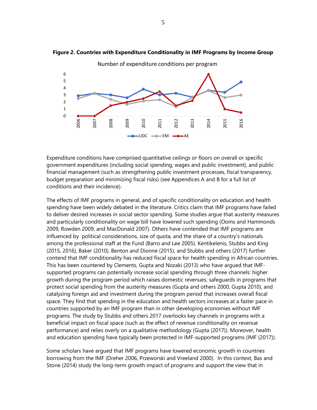



Expenditure conditions have comprised quantitative ceilings or floors on overall or specific government expenditures (including social spending, wages and public investment), and public financial management (such as strengthening public investment processes, fiscal transparency, budget preparation and minimizing fiscal risks) (see Appendices A and B for a full list of conditions and their incidence).

The effects of IMF programs in general, and of specific conditionality on education and health spending have been widely debated in the literature. Critics claim that IMF programs have failed to deliver desired increases in social sector spending. Some studies argue that austerity measures and particularly conditionality on wage bill have lowered such spending (Ooms and Hammonds 2009, Rowden 2009, and MacDonald 2007). Others have contended that IMF programs are influenced by political considerations, size of quota, and the share of a country's nationals among the professional staff at the Fund (Barro and Lee 2005). Kentikelenis, Stubbs and King (2015, 2016), Baker (2010), Benton and Dionne (2015), and Stubbs and others (2017) further contend that IMF conditionality has reduced fiscal space for health spending in African countries. This has been countered by Clements, Gupta and Nozaki (2013) who have argued that IMFsupported programs can potentially increase social spending through three channels: higher growth during the program period which raises domestic revenues, safeguards in programs that protect social spending from the austerity measures (Gupta and others 2000, Gupta 2010), and catalyzing foreign aid and investment during the program period that increases overall fiscal space. They find that spending in the education and health sectors increases at a faster pace in countries supported by an IMF program than in other developing economies without IMF programs. The study by Stubbs and others 2017 overlooks key channels in programs with a beneficial impact on fiscal space (such as the effect of revenue conditionality on revenue performance) and relies overly on a qualitative methodology (Gupta (2017)). Moreover, health and education spending have typically been protected in IMF-supported programs (IMF (2017)).

Some scholars have argued that IMF programs have lowered economic growth in countries borrowing from the IMF (Dreher 2006, Przeworski and Vreeland 2000). In this context, Bas and Stone (2014) study the long-term growth impact of programs and support the view that in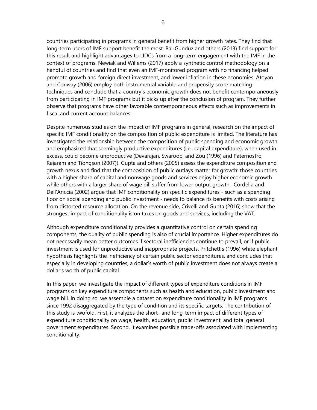countries participating in programs in general benefit from higher growth rates. They find that long-term users of IMF support benefit the most. Bal-Gunduz and others (2013) find support for this result and highlight advantages to LIDCs from a long-term engagement with the IMF in the context of programs. Newiak and Willems (2017) apply a synthetic control methodology on a handful of countries and find that even an IMF-monitored program with no financing helped promote growth and foreign direct investment, and lower inflation in these economies. Atoyan and Conway (2006) employ both instrumental variable and propensity score matching techniques and conclude that a country's economic growth does not benefit contemporaneously from participating in IMF programs but it picks up after the conclusion of program. They further observe that programs have other favorable contemporaneous effects such as improvements in fiscal and current account balances.

Despite numerous studies on the impact of IMF programs in general, research on the impact of specific IMF conditionality on the composition of public expenditure is limited. The literature has investigated the relationship between the composition of public spending and economic growth and emphasized that seemingly productive expenditures (i.e., capital expenditure), when used in excess, could become unproductive (Devarajan, Swaroop, and Zou (1996) and Paternostro, Rajaram and Tiongson (2007)). Gupta and others (2005) assess the expenditure composition and growth nexus and find that the composition of public outlays matter for growth: those countries with a higher share of capital and nonwage goods and services enjoy higher economic growth while others with a larger share of wage bill suffer from lower output growth. Cordella and Dell'Ariccia (2002) argue that IMF conditionality on specific expenditures - such as a spending floor on social spending and public investment - needs to balance its benefits with costs arising from distorted resource allocation. On the revenue side, Crivelli and Gupta (2016) show that the strongest impact of conditionality is on taxes on goods and services, including the VAT.

Although expenditure conditionality provides a quantitative control on certain spending components, the quality of public spending is also of crucial importance. Higher expenditures do not necessarily mean better outcomes if sectoral inefficiencies continue to prevail, or if public investment is used for unproductive and inappropriate projects. Pritchett's (1996) white elephant hypothesis highlights the inefficiency of certain public sector expenditures, and concludes that especially in developing countries, a dollar's worth of public investment does not always create a dollar's worth of public capital.

In this paper, we investigate the impact of different types of expenditure conditions in IMF programs on key expenditure components such as health and education, public investment and wage bill. In doing so, we assemble a dataset on expenditure conditionality in IMF programs since 1992 disaggregated by the type of condition and its specific targets. The contribution of this study is twofold. First, it analyzes the short- and long-term impact of different types of expenditure conditionality on wage, health, education, public investment, and total general government expenditures. Second, it examines possible trade-offs associated with implementing conditionality.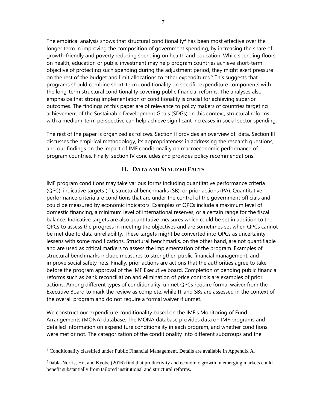The empirical analysis shows that structural conditionality<sup>[4](#page-6-0)</sup> has been most effective over the longer term in improving the composition of government spending, by increasing the share of growth-friendly and poverty reducing spending on health and education. While spending floors on health, education or public investment may help program countries achieve short-term objective of protecting such spending during the adjustment period, they might exert pressure on the rest of the budget and limit allocations to other expenditures.<sup>[5](#page-6-1)</sup> This suggests that programs should combine short-term conditionality on specific expenditure components with the long-term structural conditionality covering public financial reforms. The analyses also emphasize that strong implementation of conditionality is crucial for achieving superior outcomes. The findings of this paper are of relevance to policy makers of countries targeting achievement of the Sustainable Development Goals (SDGs). In this context, structural reforms with a medium-term perspective can help achieve significant increases in social sector spending.

The rest of the paper is organized as follows. Section II provides an overview of data. Section III discusses the empirical methodology, its appropriateness in addressing the research questions, and our findings on the impact of IMF conditionality on macroeconomic performance of program countries. Finally, section IV concludes and provides policy recommendations.

# **II. DATA AND STYLIZED FACTS**

IMF program conditions may take various forms including quantitative performance criteria (QPC), indicative targets (IT), structural benchmarks (SB), or prior actions (PA). Quantitative performance criteria are conditions that are under the control of the government officials and could be measured by economic indicators. Examples of QPCs include a maximum level of domestic financing, a minimum level of international reserves, or a certain range for the fiscal balance. Indicative targets are also quantitative measures which could be set in addition to the QPCs to assess the progress in meeting the objectives and are sometimes set when QPCs cannot be met due to data unreliability. These targets might be converted into QPCs as uncertainty lessens with some modifications. Structural benchmarks, on the other hand, are not quantifiable and are used as critical markers to assess the implementation of the program. Examples of structural benchmarks include measures to strengthen public financial management, and improve social safety nets. Finally, prior actions are actions that the authorities agree to take before the program approval of the IMF Executive board. Completion of pending public financial reforms such as bank reconciliation and elimination of price controls are examples of prior actions. Among different types of conditionality, unmet QPCs require formal waiver from the Executive Board to mark the review as complete, while IT and SBs are assessed in the context of the overall program and do not require a formal waiver if unmet.

We construct our expenditure conditionality based on the IMF's Monitoring of Fund Arrangements (MONA) database. The MONA database provides data on IMF programs and detailed information on expenditure conditionality in each program, and whether conditions were met or not. The categorization of the conditionality into different subgroups and the

<span id="page-6-0"></span> <sup>4</sup> Conditionality classified under Public Financial Management. Details are available in Appendix A.

<span id="page-6-1"></span><sup>5</sup> Dabla-Norris, Ho, and Kyobe (2016) find that productivity and economic growth in emerging markets could benefit substantially from tailored institutional and structural reforms.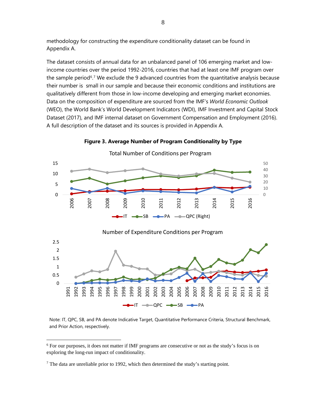methodology for constructing the expenditure conditionality dataset can be found in Appendix A.

The dataset consists of annual data for an unbalanced panel of 106 emerging market and lowincome countries over the period 1992-2016, countries that had at least one IMF program over the sample period<sup>6,[7](#page-7-1)</sup> We exclude the 9 advanced countries from the quantitative analysis because their number is small in our sample and because their economic conditions and institutions are qualitatively different from those in low-income developing and emerging market economies. Data on the composition of expenditure are sourced from the IMF's *World Economic Outlook* (WEO), the World Bank's World Development Indicators (WDI), IMF Investment and Capital Stock Dataset (2017), and IMF internal dataset on Government Compensation and Employment (2016). A full description of the dataset and its sources is provided in Appendix A.



**Figure 3. Average Number of Program Conditionality by Type**

Note: IT, QPC, SB, and PA denote Indicative Target, Quantitative Performance Criteria, Structural Benchmark, and Prior Action, respectively.

<span id="page-7-0"></span> For our purposes, it does not matter if IMF programs are consecutive or not as the study's focus is on exploring the long-run impact of conditionality.

<span id="page-7-1"></span>The data are unreliable prior to 1992, which then determined the study's starting point.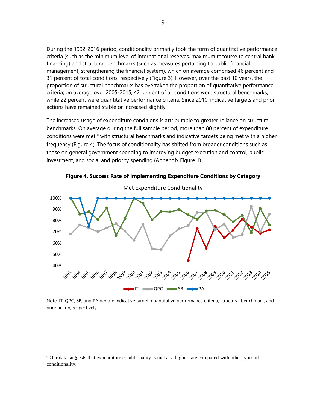During the 1992-2016 period, conditionality primarily took the form of quantitative performance criteria (such as the minimum level of international reserves, maximum recourse to central bank financing) and structural benchmarks (such as measures pertaining to public financial management, strengthening the financial system), which on average comprised 46 percent and 31 percent of total conditions, respectively (Figure 3). However, over the past 10 years, the proportion of structural benchmarks has overtaken the proportion of quantitative performance criteria; on average over 2005-2015, 42 percent of all conditions were structural benchmarks, while 22 percent were quantitative performance criteria. Since 2010, indicative targets and prior actions have remained stable or increased slightly.

The increased usage of expenditure conditions is attributable to greater reliance on structural benchmarks. On average during the full sample period, more than 80 percent of expenditure conditions were met,<sup>[8](#page-8-0)</sup> with structural benchmarks and indicative targets being met with a higher frequency (Figure 4). The focus of conditionality has shifted from broader conditions such as those on general government spending to improving budget execution and control, public investment, and social and priority spending (Appendix Figure 1).



**Figure 4. Success Rate of Implementing Expenditure Conditions by Category**

Note: IT, QPC, SB, and PA denote indicative target, quantitative performance criteria, structural benchmark, and prior action, respectively.

<span id="page-8-0"></span><sup>&</sup>lt;sup>8</sup> Our data suggests that expenditure conditionality is met at a higher rate compared with other types of conditionality.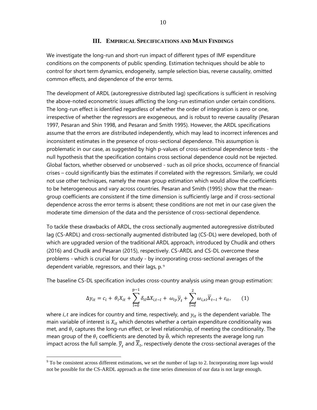#### **III. EMPIRICAL SPECIFICATIONS AND MAIN FINDINGS**

We investigate the long-run and short-run impact of different types of IMF expenditure conditions on the components of public spending. Estimation techniques should be able to control for short term dynamics, endogeneity, sample selection bias, reverse causality, omitted common effects, and dependence of the error terms.

The development of ARDL (autoregressive distributed lag) specifications is sufficient in resolving the above-noted econometric issues afflicting the long-run estimation under certain conditions. The long-run effect is identified regardless of whether the order of integration is zero or one, irrespective of whether the regressors are exogeneous, and is robust to reverse causality (Pesaran 1997, Pesaran and Shin 1998, and Pesaran and Smith 1995). However, the ARDL specifications assume that the errors are distributed independently, which may lead to incorrect inferences and inconsistent estimates in the presence of cross-sectional dependence. This assumption is problematic in our case, as suggested by high p-values of cross-sectional dependence tests - the null hypothesis that the specification contains cross sectional dependence could not be rejected. Global factors, whether observed or unobserved - such as oil price shocks, occurrence of financial crises – could significantly bias the estimates if correlated with the regressors. Similarly, we could not use other techniques, namely the mean group estimation which would allow the coefficients to be heterogeneous and vary across countries. Pesaran and Smith (1995) show that the meangroup coefficients are consistent if the time dimension is sufficiently large and if cross-sectional dependence across the error terms is absent; these conditions are not met in our case given the moderate time dimension of the data and the persistence of cross-sectional dependence.

To tackle these drawbacks of ARDL, the cross sectionally augmented autoregressive distributed lag (CS-ARDL) and cross-sectionally augmented distributed lag (CS-DL) were developed, both of which are upgraded version of the traditional ARDL approach, introduced by Chudik and others (2016) and Chudik and Pesaran (2015), respectively. CS-ARDL and CS-DL overcome these problems - which is crucial for our study - by incorporating cross-sectional averages of the dependent variable, regressors, and their lags, p. <sup>9</sup>

The baseline CS-DL specification includes cross-country analysis using mean group estimation:

$$
\Delta y_{it} = c_i + \theta_i X_{it} + \sum_{l=0}^{p-1} \delta_{il} \Delta X_{i,t-l} + \omega_{iy} \overline{y}_t + \sum_{l=0}^2 \omega_{i,xl} \overline{X}_{t-l} + \varepsilon_{it}, \qquad (1)
$$

where *i*, *t* are indices for country and time, respectively, and  $y_{it}$  is the dependent variable. The main variable of interest is  $X_{it}$  which denotes whether a certain expenditure conditionality was met, and  $\theta_i$  captures the long-run effect, or level relationship, of meeting the conditionality. The mean group of the  $\theta_i$  coefficients are denoted by  $\hat{\theta}$ , which represents the average long run impact across the full sample.  $\overline{y}_t$  and  $\overline{X}_t$ , respectively denote the cross-sectional averages of the

<sup>&</sup>lt;sup>9</sup> To be consistent across different estimations, we set the number of lags to 2. Incorporating more lags would not be possible for the CS-ARDL approach as the time series dimension of our data is not large enough.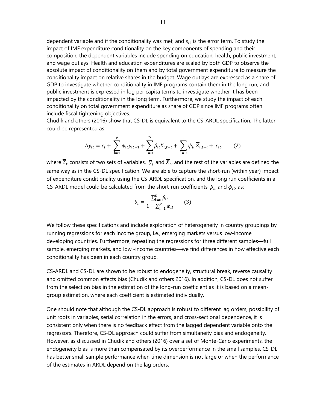dependent variable and if the conditionality was met, and  $\varepsilon_{it}$  is the error term. To study the impact of IMF expenditure conditionality on the key components of spending and their composition, the dependent variables include spending on education, health, public investment, and wage outlays. Health and education expenditures are scaled by both GDP to observe the absolute impact of conditionality on them and by total government expenditure to measure the conditionality impact on relative shares in the budget. Wage outlays are expressed as a share of GDP to investigate whether conditionality in IMF programs contain them in the long run, and public investment is expressed in log per capita terms to investigate whether it has been impacted by the conditionality in the long term. Furthermore, we study the impact of each conditionality on total government expenditure as share of GDP since IMF programs often include fiscal tightening objectives.

Chudik and others (2016) show that CS-DL is equivalent to the CS\_ARDL specification. The latter could be represented as:

$$
\Delta y_{it} = c_i + \sum_{l=1}^{p} \phi_{il} y_{it-1} + \sum_{l=0}^{p} \beta_{il} X_{i,t-l} + \sum_{l=0}^{2} \psi_{il} \overline{Z}_{i,t-l} + \varepsilon_{it}, \qquad (2)
$$

where  $\overline{Z}_t$  consists of two sets of variables,  $\overline{y}_t$  and  $\overline{X}_t$ , and the rest of the variables are defined the same way as in the CS-DL specification. We are able to capture the short-run (within year) impact of expenditure conditionality using the CS-ARDL specification, and the long run coefficients in a CS-ARDL model could be calculated from the short-run coefficients,  $\beta_{il}$  and  $\phi_{il}$ , as:

$$
\theta_{i} = \frac{\sum_{l=0}^{p} \beta_{il}}{1 - \sum_{l=1}^{p} \phi_{il}} \qquad (3)
$$

We follow these specifications and include exploration of heterogeneity in country groupings by running regressions for each income group, i.e., emerging markets versus low-income developing countries. Furthermore, repeating the regressions for three different samples—full sample, emerging markets, and low -income countries—we find differences in how effective each conditionality has been in each country group.

CS-ARDL and CS-DL are shown to be robust to endogeneity, structural break, reverse causality and omitted common effects bias (Chudik and others 2016). In addition, CS-DL does not suffer from the selection bias in the estimation of the long-run coefficient as it is based on a meangroup estimation, where each coefficient is estimated individually.

One should note that although the CS-DL approach is robust to different lag orders, possibility of unit roots in variables, serial correlation in the errors, and cross-sectional dependence, it is consistent only when there is no feedback effect from the lagged dependent variable onto the regressors. Therefore, CS-DL approach could suffer from simultaneity bias and endogeneity. However, as discussed in Chudik and others (2016) over a set of Monte-Carlo experiments, the endogeneity bias is more than compensated by its overperformance in the small samples. CS-DL has better small sample performance when time dimension is not large or when the performance of the estimates in ARDL depend on the lag orders.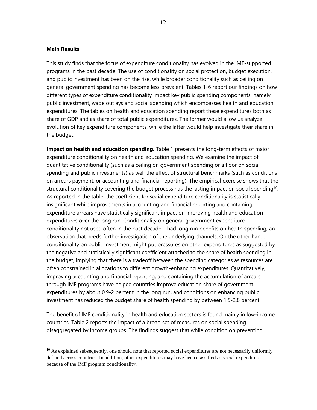#### **Main Results**

This study finds that the focus of expenditure conditionality has evolved in the IMF-supported programs in the past decade. The use of conditionality on social protection, budget execution, and public investment has been on the rise, while broader conditionality such as ceiling on general government spending has become less prevalent. Tables 1-6 report our findings on how different types of expenditure conditionality impact key public spending components, namely public investment, wage outlays and social spending which encompasses health and education expenditures. The tables on health and education spending report these expenditures both as share of GDP and as share of total public expenditures. The former would allow us analyze evolution of key expenditure components, while the latter would help investigate their share in the budget.

**Impact on health and education spending.** Table 1 presents the long-term effects of major expenditure conditionality on health and education spending. We examine the impact of quantitative conditionality (such as a ceiling on government spending or a floor on social spending and public investments) as well the effect of structural benchmarks (such as conditions on arrears payment, or accounting and financial reporting). The empirical exercise shows that the structural conditionality covering the budget process has the lasting impact on social spending<sup>10</sup>. As reported in the table, the coefficient for social expenditure conditionality is statistically insignificant while improvements in accounting and financial reporting and containing expenditure arrears have statistically significant impact on improving health and education expenditures over the long run. Conditionality on general government expenditure – conditionality not used often in the past decade – had long run benefits on health spending, an observation that needs further investigation of the underlying channels. On the other hand, conditionality on public investment might put pressures on other expenditures as suggested by the negative and statistically significant coefficient attached to the share of health spending in the budget, implying that there is a tradeoff between the spending categories as resources are often constrained in allocations to different growth-enhancing expenditures. Quantitatively, improving accounting and financial reporting, and containing the accumulation of arrears through IMF programs have helped countries improve education share of government expenditures by about 0.9-2 percent in the long run, and conditions on enhancing public investment has reduced the budget share of health spending by between 1.5-2.8 percent.

The benefit of IMF conditionality in health and education sectors is found mainly in low-income countries. Table 2 reports the impact of a broad set of measures on social spending disaggregated by income groups. The findings suggest that while condition on preventing

<span id="page-11-0"></span> $10$  As explained subsequently, one should note that reported social expenditures are not necessarily uniformly defined across countries. In addition, other expenditures may have been classified as social expenditures because of the IMF program conditionality.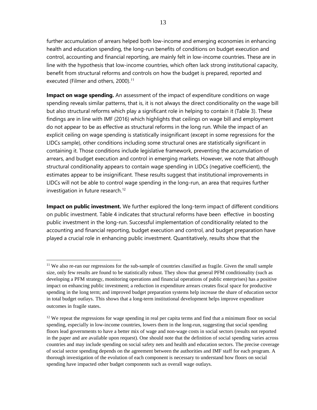further accumulation of arrears helped both low-income and emerging economies in enhancing health and education spending, the long-run benefits of conditions on budget execution and control, accounting and financial reporting, are mainly felt in low-income countries. These are in line with the hypothesis that low-income countries, which often lack strong institutional capacity, benefit from structural reforms and controls on how the budget is prepared, reported and executed (Filmer and others, 2000).<sup>11</sup>

**Impact on wage spending.** An assessment of the impact of expenditure conditions on wage spending reveals similar patterns, that is, it is not always the direct conditionality on the wage bill but also structural reforms which play a significant role in helping to contain it (Table 3). These findings are in line with IMF (2016) which highlights that ceilings on wage bill and employment do not appear to be as effective as structural reforms in the long run. While the impact of an explicit ceiling on wage spending is statistically insignificant (except in some regressions for the LIDCs sample), other conditions including some structural ones are statistically significant in containing it. Those conditions include legislative framework, preventing the accumulation of arrears, and budget execution and control in emerging markets. However, we note that although structural conditionality appears to contain wage spending in LIDCs (negative coefficient), the estimates appear to be insignificant. These results suggest that institutional improvements in LIDCs will not be able to control wage spending in the long-run, an area that requires further investigation in future research.<sup>[12](#page-12-1)</sup>

**Impact on public investment.** We further explored the long-term impact of different conditions on public investment. Table 4 indicates that structural reforms have been effective in boosting public investment in the long-run. Successful implementation of conditionality related to the accounting and financial reporting, budget execution and control, and budget preparation have played a crucial role in enhancing public investment. Quantitatively, results show that the

<span id="page-12-0"></span><sup>&</sup>lt;sup>11</sup> We also re-ran our regressions for the sub-sample of countries classified as fragile. Given the small sample size, only few results are found to be statistically robust. They show that general PFM conditionality (such as developing a PFM strategy, monitoring operations and financial operations of public enterprises) has a positive impact on enhancing public investment; a reduction in expenditure arrears creates fiscal space for productive spending in the long term; and improved budget preparation systems help increase the share of education sector in total budget outlays. This shows that a long-term institutional development helps improve expenditure outcomes in fragile states.

<span id="page-12-1"></span><sup>&</sup>lt;sup>12</sup> We repeat the regressions for wage spending in real per capita terms and find that a minimum floor on social spending, especially in low-income countries, lowers them in the long-run, suggesting that social spending floors lead governments to have a better mix of wage and non-wage costs in social sectors (results not reported in the paper and are available upon request). One should note that the definition of social spending varies across countries and may include spending on social safety nets and health and education sectors. The precise coverage of social sector spending depends on the agreement between the authorities and IMF staff for each program. A thorough investigation of the evolution of each component is necessary to understand how floors on social spending have impacted other budget components such as overall wage outlays.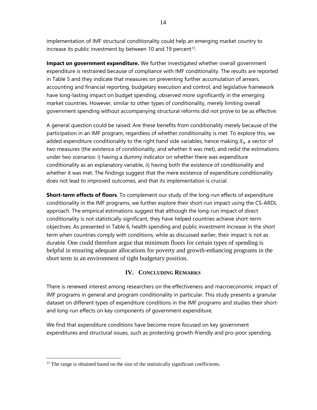implementation of IMF structural conditionality could help an emerging market country to increase its public investment by between 10 and 19 percent<sup>[13](#page-13-0)</sup>.

**Impact on government expenditure.** We further investigated whether overall government expenditure is restrained because of compliance with IMF conditionality. The results are reported in Table 5 and they indicate that measures on preventing further accumulation of arrears, accounting and financial reporting, budgetary execution and control, and legislative framework have long-lasting impact on budget spending, observed more significantly in the emerging market countries. However, similar to other types of conditionality, merely limiting overall government spending without accompanying structural reforms did not prove to be as effective.

A general question could be raised: Are these benefits from conditionality merely because of the participation in an IMF program, regardless of whether conditionality is met. To explore this, we added expenditure conditionality to the right hand side variables, hence making  $X_{it}$  a vector of two measures (the existence of conditionality, and whether it was met), and redid the estimations under two scenarios: i) having a dummy indicator on whether there was expenditure conditionality as an explanatory variable, ii) having both the existence of conditionality and whether it was met. The findings suggest that the mere existence of expenditure conditionality does not lead to improved outcomes, and that its implementation is crucial.

**Short-term effects of floors**. To complement our study of the long-run effects of expenditure conditionality in the IMF programs, we further explore their short-run impact using the CS-ARDL approach. The empirical estimations suggest that although the long-run impact of direct conditionality is not statistically significant, they have helped countries achieve short-term objectives. As presented in Table 6, health spending and public investment increase in the short term when countries comply with conditions, while as discussed earlier, their impact is not as durable. One could therefore argue that minimum floors for certain types of spending is helpful in ensuring adequate allocations for poverty and growth-enhancing programs in the short term in an environment of tight budgetary position.

# **IV. CONCLUDING REMARKS**

There is renewed interest among researchers on the effectiveness and macroeconomic impact of IMF programs in general and program conditionality in particular. This study presents a granular dataset on different types of expenditure conditions in the IMF programs and studies their shortand long-run effects on key components of government expenditure.

We find that expenditure conditions have become more focused on key government expenditures and structural issues, such as protecting growth-friendly and pro-poor spending.

<span id="page-13-0"></span><sup>&</sup>lt;sup>13</sup> The range is obtained based on the size of the statistically significant coefficients.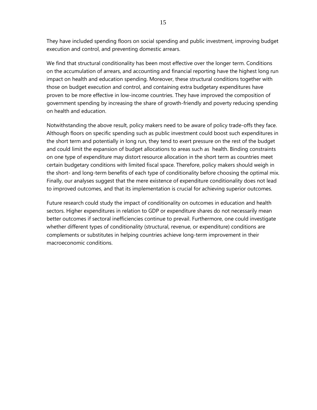They have included spending floors on social spending and public investment, improving budget execution and control, and preventing domestic arrears.

We find that structural conditionality has been most effective over the longer term. Conditions on the accumulation of arrears, and accounting and financial reporting have the highest long run impact on health and education spending. Moreover, these structural conditions together with those on budget execution and control, and containing extra budgetary expenditures have proven to be more effective in low-income countries. They have improved the composition of government spending by increasing the share of growth-friendly and poverty reducing spending on health and education.

Notwithstanding the above result, policy makers need to be aware of policy trade-offs they face. Although floors on specific spending such as public investment could boost such expenditures in the short term and potentially in long run, they tend to exert pressure on the rest of the budget and could limit the expansion of budget allocations to areas such as health. Binding constraints on one type of expenditure may distort resource allocation in the short term as countries meet certain budgetary conditions with limited fiscal space. Therefore, policy makers should weigh in the short- and long-term benefits of each type of conditionality before choosing the optimal mix. Finally, our analyses suggest that the mere existence of expenditure conditionality does not lead to improved outcomes, and that its implementation is crucial for achieving superior outcomes.

Future research could study the impact of conditionality on outcomes in education and health sectors. Higher expenditures in relation to GDP or expenditure shares do not necessarily mean better outcomes if sectoral inefficiencies continue to prevail. Furthermore, one could investigate whether different types of conditionality (structural, revenue, or expenditure) conditions are complements or substitutes in helping countries achieve long-term improvement in their macroeconomic conditions.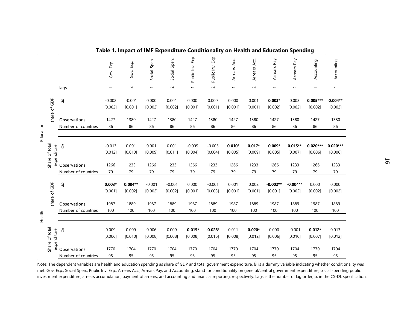|           |                               |                                     | Gov. Exp.                | Gov. Exp.            | Social Spen.             | Social Spen.        | Public Inv. Exp.         | Exp.<br>Public Inv.  | Arrears Acc.             | Arrears Acc.        | Arrears Pay              | Arrears Pay           | Accounting               | Accounting            |
|-----------|-------------------------------|-------------------------------------|--------------------------|----------------------|--------------------------|---------------------|--------------------------|----------------------|--------------------------|---------------------|--------------------------|-----------------------|--------------------------|-----------------------|
|           |                               | lags                                | $\overline{\phantom{0}}$ | $\sim$               | $\overline{\phantom{0}}$ | $\sim$              | $\overline{\phantom{0}}$ | $\sim$               | $\overline{\phantom{m}}$ | $\sim$              | $\overline{\phantom{m}}$ | $\sim$                | $\overline{\phantom{0}}$ | $\sim$                |
|           | of GDP                        | $\hat{\theta}$                      | $-0.002$<br>[0.002]      | $-0.001$<br>[0.001]  | 0.000<br>[0.002]         | 0.001<br>[0.002]    | 0.000<br>[0.001]         | 0.000<br>[0.001]     | 0.000<br>[0.001]         | 0.001<br>[0.001]    | $0.003*$<br>[0.002]      | 0.003<br>[0.002]      | $0.005***$<br>[0.002]    | $0.004**$<br>[0.002]  |
| Education | share                         | Observations<br>Number of countries | 1427<br>86               | 1380<br>86           | 1427<br>86               | 1380<br>86          | 1427<br>86               | 1380<br>86           | 1427<br>86               | 1380<br>86          | 1427<br>86               | 1380<br>86            | 1427<br>86               | 1380<br>86            |
|           | Share of total<br>expenditure | ê                                   | $-0.013$<br>[0.012]      | 0.001<br>[0.010]     | 0.001<br>[0.009]         | 0.001<br>[0.011]    | $-0.005$<br>[0.004]      | $-0.005$<br>[0.004]  | $0.010*$<br>[0.005]      | $0.017*$<br>[0.009] | $0.009*$<br>[0.005]      | $0.015**$<br>[0.007]  | $0.020***$<br>[0.006]    | $0.020***$<br>[0.006] |
|           |                               | Observations<br>Number of countries | 1266<br>79               | 1233<br>79           | 1266<br>79               | 1233<br>79          | 1266<br>79               | 1233<br>79           | 1266<br>79               | 1233<br>79          | 1266<br>79               | 1233<br>79            | 1266<br>79               | 1233<br>79            |
|           | of GDP                        | $\widehat{\Theta}$                  | $0.003*$<br>[0.001]      | $0.004**$<br>[0.002] | $-0.001$<br>[0.002]      | $-0.001$<br>[0.002] | 0.000<br>[0.001]         | $-0.001$<br>[0.003]  | 0.001<br>[0.001]         | 0.002<br>[0.001]    | $-0.002**$<br>[0.001]    | $-0.004**$<br>[0.002] | 0.000<br>[0.002]         | 0.000<br>[0.002]      |
|           | share                         | Observations<br>Number of countries | 1987<br>100              | 1889<br>100          | 1987<br>100              | 1889<br>100         | 1987<br>100              | 1889<br>100          | 1987<br>100              | 1889<br>100         | 1987<br>100              | 1889<br>100           | 1987<br>100              | 1889<br>100           |
| Health    | Share of total<br>expenditure | $\hat{\theta}$                      | 0.009<br>[0.006]         | 0.009<br>[0.010]     | 0.006<br>[0.008]         | 0.009<br>[0.008]    | $-0.015*$<br>[0.008]     | $-0.028*$<br>[0.016] | 0.011<br>[0.008]         | $0.020*$<br>[0.012] | 0.000<br>[0.006]         | $-0.001$<br>[0.010]   | $0.012*$<br>[0.007]      | 0.013<br>[0.012]      |
|           |                               | Observations<br>Number of countries | 1770<br>95               | 1704<br>95           | 1770<br>95               | 1704<br>95          | 1770<br>95               | 1704<br>95           | 1770<br>95               | 1704<br>95          | 1770<br>95               | 1704<br>95            | 1770<br>95               | 1704<br>95            |

# **Table 1. Impact of IMF Expenditure Conditionality on Health and Education Spending**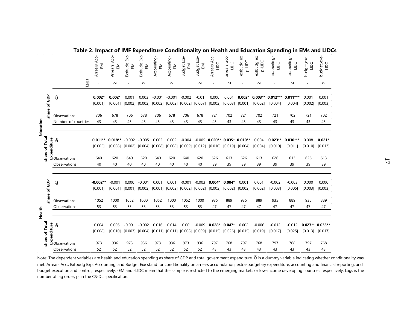|                             |                                                                                                                                                                                                                                                                                                                           | Arrears Acc-<br>ΕM    | Arrears_Acc<br>ΞM    | Εxρ<br>Extbudg<br>ΞM         | Exp-<br>Extbudg<br>ΞM                                         | Accounting<br>$\mathsf{E}\mathsf{M}$ | Accounting<br>$\mathop{\mathbb{E}}$              | <b>Budget Exe</b><br>$\mathbb E$          | <b>Budget Exe</b><br>EM | Arrears Acc-<br>DC                                          | arrears_acc-<br>DC         | extbudg_ex<br>p-LIDC | extbudg_ex<br>p-LIDC | accounting<br>DC      | accounting<br>DC      | budget_exe-<br>DC | budget_exe-<br>DC   |
|-----------------------------|---------------------------------------------------------------------------------------------------------------------------------------------------------------------------------------------------------------------------------------------------------------------------------------------------------------------------|-----------------------|----------------------|------------------------------|---------------------------------------------------------------|--------------------------------------|--------------------------------------------------|-------------------------------------------|-------------------------|-------------------------------------------------------------|----------------------------|----------------------|----------------------|-----------------------|-----------------------|-------------------|---------------------|
|                             | Lags                                                                                                                                                                                                                                                                                                                      |                       | $\sim$               |                              | $\sim$                                                        |                                      | $\sim$                                           |                                           | $\sim$                  | $\overline{ }$                                              | $\sim$                     |                      | $\sim$               |                       | $\sim$                | $\overline{ }$    | $\sim$              |
| share of GDP                | $\hat{\theta}$                                                                                                                                                                                                                                                                                                            | $0.002*$<br>[0.001]   | $0.002*$<br>[0.001]  | 0.001<br>[0.002]             | 0.003<br>$[0.002]$ $[0.002]$                                  | $-0.001$                             | $-0.001$                                         | $-0.002$<br>$[0.002]$ $[0.002]$ $[0.007]$ | $-0.01$                 | 0.000<br>[0.002]                                            | 0.001<br>[0.003]           | $0.002*$<br>[0.001]  | $0.003**$<br>[0.002] | $0.012***$<br>[0.004] | $0.011***$<br>[0.004] | 0.001<br>[0.002]  | 0.001<br>[0.003]    |
| Education                   | Observations<br>Number of countries                                                                                                                                                                                                                                                                                       | 706<br>43             | 678<br>43            | 706<br>43                    | 678<br>43                                                     | 706<br>43                            | 678<br>43                                        | 706<br>43                                 | 678<br>43               | 721<br>43                                                   | 702<br>43                  | 721<br>43            | 702<br>43            | 721<br>43             | 702<br>43             | 721<br>43         | 702<br>43           |
| share of Total              | $\begin{bmatrix} 2 & 6 \\ 1 & 1 \\ 2 & 3 \\ 2 & 3 \\ 3 & 4 \\ 4 & 5 \\ 5 & 6 \\ 6 & 7 \\ 7 & 8 \\ 8 & 9 \\ 10 & 10 \\ 10 & 10 \\ 10 & 10 \\ 10 & 10 \\ 10 & 10 \\ 10 & 10 \\ 10 & 10 \\ 10 & 10 \\ 10 & 10 & 10 \\ 10 & 10 & 10 \\ 10 & 10 & 10 \\ 10 & 10 & 10 \\ 10 & 10 & 10 \\ 10 & 10 & 10 & 10 \\ 10 & 10 & 10 & 1$ | $0.011**$<br>[0.005]  | $0.018**$<br>[0.008] | $-0.002$                     | $-0.005$<br>$[0.002]$ $[0.004]$                               | 0.002<br>[0.008]                     | 0.002                                            | $-0.004$                                  |                         | $-0.005$ 0.020**<br>$[0.008]$ $[0.009]$ $[0.012]$ $[0.010]$ | $0.035*0.010**$<br>[0.019] | [0.004]              | 0.004<br>[0.004]     | $0.023**$<br>[0.010]  | $0.030***$<br>[0.011] | 0.008<br>[0.010]  | $0.021*$<br>[0.013] |
|                             | Observations                                                                                                                                                                                                                                                                                                              | 640<br>40             | 620<br>40            | 640<br>40                    | 620<br>40                                                     | 640<br>40                            | 620<br>40                                        | 640<br>40                                 | 620<br>40               | 626<br>39                                                   | 613<br>39                  | 626<br>39            | 613<br>39            | 626<br>39             | 613<br>39             | 626<br>39         | 613<br>39           |
| share of GDP                | $\hat{\theta}$                                                                                                                                                                                                                                                                                                            | $-0.002**$<br>[0.001] | $-0.001$<br>[0.001]  | 0.000<br>$[0.001]$ $[0.002]$ | $-0.001$                                                      | 0.001                                | 0.001<br>$[0.001]$ $[0.002]$ $[0.002]$ $[0.002]$ | $-0.001$                                  | $-0.003$                | $0.004*$<br>[0.002]                                         | $0.004*$<br>[0.002]        | 0.001<br>[0.002]     | 0.001<br>[0.002]     | $-0.002$<br>[0.003]   | $-0.003$<br>[0.005]   | 0.000<br>[0.003]  | 0.000<br>[0.003]    |
| Health                      | Observations<br>Observations                                                                                                                                                                                                                                                                                              | 1052<br>53            | 1000<br>53           | 1052<br>53                   | 1000<br>53                                                    | 1052<br>53                           | 1000<br>53                                       | 1052<br>53                                | 1000<br>53              | 935<br>47                                                   | 889<br>47                  | 935<br>47            | 889<br>47            | 935<br>47             | 889<br>47             | 935<br>47         | 889<br>47           |
| share of Total<br>penditure | $\hat{\theta}$                                                                                                                                                                                                                                                                                                            | 0.004<br>[0.008]      | 0.006<br>[0.010]     | $-0.001$                     | $-0.002$<br>$[0.003]$ $[0.004]$ $[0.011]$ $[0.011]$ $[0.008]$ | 0.016                                | 0.014                                            | 0.00                                      | $-0.009$                | $0.028*$<br>$[0.009]$ $[0.015]$ $[0.026]$                   | $0.047*$                   | 0.002<br>[0.015]     | $-0.006$<br>[0.019]  | $-0.012$<br>[0.017]   | $-0.012$<br>[0.025]   | $0.027**0.033**$  | $[0.013]$ $[0.017]$ |
|                             | bobservations<br>Observations                                                                                                                                                                                                                                                                                             | 973<br>52             | 936<br>52            | 973<br>52                    | 936<br>52                                                     | 973<br>52                            | 936<br>52                                        | 973<br>52                                 | 936<br>52               | 797<br>43                                                   | 768<br>43                  | 797<br>43            | 768<br>43            | 797<br>43             | 768<br>43             | 797<br>43         | 768<br>43           |

**Table 2. Impact of IMF Expenditure Conditionality on Health and Education Spending in EMs and LIDCs**

Note: The dependent variables are health and education spending as share of GDP and total government expenditure.  $\hat{\theta}$  is a dummy variable indicating whether conditionality was met. Arrears Acc., Extbudg Exp, Accounting, and Budget Exe stand for conditionality on arrears accumulation, extra-budgetary expenditure, accounting and financial reporting, and budget execution and control, respectively. -EM and -LIDC mean that the sample is restricted to the emerging markets or low-income developing countries respectively. Lags is the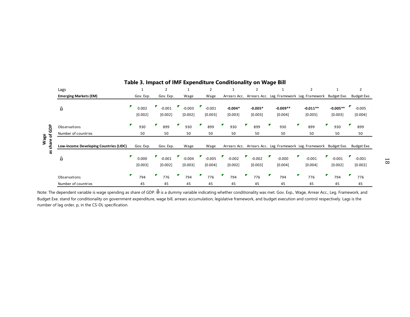|                  | Lags                                   | 1                | 2                   |                     |                     |                      | $\overline{2}$       |                       | $\overline{2}$                                                      |                       | $\overline{2}$      |
|------------------|----------------------------------------|------------------|---------------------|---------------------|---------------------|----------------------|----------------------|-----------------------|---------------------------------------------------------------------|-----------------------|---------------------|
|                  | <b>Emerging Markets (EM)</b>           | Gov. Exp.        | Gov. Exp.           | Wage                | Wage                |                      |                      |                       | Arrears Acc. Arrears Acc. Leg. Framework Leg. Framework Budget Exe. |                       | Budget Exe.         |
|                  | $\hat{\theta}$                         | 0.002<br>[0.002] | $-0.001$<br>[0.002] | $-0.003$<br>[0.002] | $-0.001$<br>[0.003] | $-0.004*$<br>[0.003] | $-0.005*$<br>[0.003] | $-0.009**$<br>[0.004] | $-0.011**$<br>[0.005]                                               | $-0.005**$<br>[0.003] | $-0.005$<br>[0.004] |
| ಕಿ               | Observations                           | 930              | 899                 | 930                 | 899                 | 930                  | 899                  | 930                   | 899                                                                 | 930                   | 899                 |
| o<br>৳           | Number of countries                    | 50               | 50                  | 50                  | 50                  | 50                   | 50                   | 50                    | 50                                                                  | 50                    | 50                  |
| Wage<br>are<br>ᇄ | Low-income Developing Countries (LIDC) | Gov. Exp.        | Gov. Exp.           | Wage                | Wage                |                      |                      |                       | Arrears Acc. Arrears Acc. Leg. Framework Leg. Framework Budget Exe. |                       | Budget Exe.         |
| Se               | ê                                      | 0.000<br>[0.003] | $-0.001$<br>[0.002] | $-0.004$<br>[0.003] | $-0.005$<br>[0.004] | $-0.002$<br>[0.002]  | $-0.002$<br>[0.003]  | $-0.000$<br>[0.004]   | $-0.001$<br>[0.004]                                                 | $-0.001$<br>[0.002]   | $-0.001$<br>[0.002] |
|                  | Observations                           | 794              | 776                 | 794                 | 776                 | 794                  | 776                  | 794                   | 776                                                                 | 794                   | 776                 |
|                  | Number of countries                    | 45               | 45                  | 45                  | 45                  | 45                   | 45                   | 45                    | 45                                                                  | 45                    | 45                  |

# **Table 3. Impact of IMF Expenditure Conditionality on Wage Bill**

Note: The dependent variable is wage spending as share of GDP.  $\hat{\theta}$  is a dummy variable indicating whether conditionality was met. Gov. Exp., Wage, Arrear Acc., Leg. Framework, and Budget Exe. stand for conditionality on government expenditure, wage bill, arrears accumulation, legislative framework, and budget execution and control respectively. Lags is the number of lag order, p, in the CS-DL specification.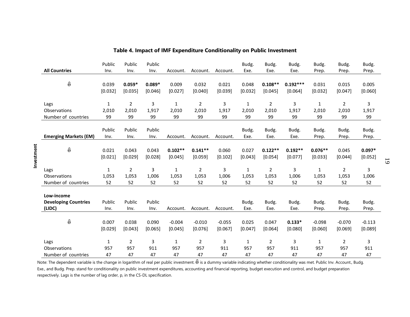| <b>All Countries</b>                                | Public<br>Inv.       | Public<br>Inv.       | Public<br>Inv.       | Account.       | Account.       | Account.       | Budg.<br>Exe.       | Budg.<br>Exe.       | Budg.<br>Exe.       | Budg.<br>Prep.       | Budg.<br>Prep.       | Budg.<br>Prep.       |
|-----------------------------------------------------|----------------------|----------------------|----------------------|----------------|----------------|----------------|---------------------|---------------------|---------------------|----------------------|----------------------|----------------------|
| $\hat{\theta}$                                      | 0.039                | $0.059*$             | $0.089*$             | 0.009          | 0.032          | 0.021          | 0.048               | $0.108**$           | $0.192***$          | 0.031                | 0.015                | 0.005                |
|                                                     | [0.032]              | [0.035]              | [0.046]              | [0.027]        | [0.040]        | [0.039]        | [0.032]             | [0.045]             | [0.064]             | [0.032]              | [0.047]              | [0.060]              |
| Lags                                                | 1                    | $\overline{2}$       | 3                    | $\mathbf 1$    | 2              | 3              | $\mathbf{1}$        | $\overline{2}$      | 3                   | $\mathbf{1}$         | $\overline{2}$       | 3                    |
| Observations                                        | 2,010                | 2,010                | 1,917                | 2,010          | 2,010          | 1,917          | 2,010               | 2,010               | 1,917               | 2,010                | 2,010                | 1,917                |
| Number of countries<br><b>Emerging Markets (EM)</b> | 99<br>Public<br>Inv. | 99<br>Public<br>Inv. | 99<br>Public<br>Inv. | 99<br>Account. | 99<br>Account. | 99<br>Account. | 99<br>Budg.<br>Exe. | 99<br>Budg.<br>Exe. | 99<br>Budg.<br>Exe. | 99<br>Budg.<br>Prep. | 99<br>Budg.<br>Prep. | 99<br>Budg.<br>Prep. |
| $\hat{\theta}$                                      | 0.021                | 0.043                | 0.043                | $0.102**$      | $0.141**$      | 0.060          | 0.027               | $0.122**$           | $0.192**$           | $0.076**$            | 0.045                | $0.097*$             |
|                                                     | [0.021]              | [0.029]              | [0.028]              | [0.045]        | [0.059]        | [0.102]        | [0.043]             | [0.054]             | [0.077]             | [0.033]              | [0.044]              | [0.052]              |
| Lags                                                | $\mathbf{1}$         | $\overline{2}$       | 3                    | $\mathbf{1}$   | $\overline{2}$ | 3              | $\mathbf{1}$        | $\overline{2}$      | 3                   | 1                    | $\overline{2}$       | 3                    |
| Observations                                        | 1,053                | 1,053                | 1,006                | 1,053          | 1,053          | 1,006          | 1,053               | 1,053               | 1,006               | 1,053                | 1,053                | 1,006                |
| Number of countries                                 | 52                   | 52                   | 52                   | 52             | 52             | 52             | 52                  | 52                  | 52                  | 52                   | 52                   | 52                   |
| Low-income<br><b>Developing Countries</b><br>(LIDC) | Public<br>Inv.       | Public<br>Inv.       | Public<br>Inv.       | Account.       | Account.       | Account.       | Budg.<br>Exe.       | Budg.<br>Exe.       | Budg.<br>Exe.       | Budg.<br>Prep.       | Budg.<br>Prep.       | Budg.<br>Prep.       |
| $\hat{\theta}$                                      | 0.007                | 0.038                | 0.090                | $-0.004$       | $-0.010$       | $-0.055$       | 0.025               | 0.047               | $0.133*$            | $-0.098$             | $-0.070$             | $-0.113$             |
|                                                     | [0.029]              | [0.043]              | [0.065]              | [0.045]        | [0.076]        | [0.067]        | [0.047]             | [0.064]             | [0.080]             | [0.060]              | [0.069]              | [0.089]              |
| Lags                                                | $\mathbf{1}$         | $\overline{2}$       | 3                    | $\mathbf{1}$   | $\overline{2}$ | 3              | $\mathbf{1}$        | $\overline{2}$      | 3                   | $\mathbf{1}$         | $\overline{2}$       | 3                    |
| Observations                                        | 957                  | 957                  | 911                  | 957            | 957            | 911            | 957                 | 957                 | 911                 | 957                  | 957                  | 911                  |
| Number of countries                                 | 47                   | 47                   | 47                   | 47             | 47             | 47             | 47                  | 47                  | 47                  | 47                   | 47                   | 47                   |

# **Table 4. Impact of IMF Expenditure Conditionality on Public Investment**

Note: The dependent variable is the change in logarithm of real per public investment.  $\hat{\theta}$  is a dummy variable indicating whether conditionality was met. Public Inv. Account., Budg. Exe., and Budg. Prep. stand for conditionality on public investment expenditures, accounting and financial reporting, budget execution and control, and budget preparation respectively. Lags is the number of lag order, p, in the CS-DL specification.

19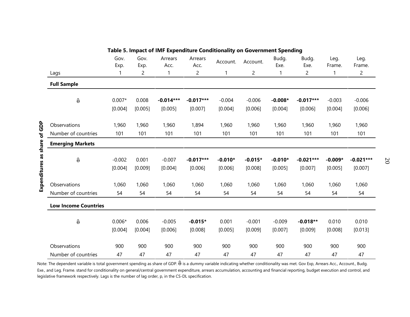|                 |                                 | Gov.<br>Exp. | Gov.<br>Exp. | Arrears<br>Acc. | Arrears<br>Acc. | Account.  | Account.       | Budg.<br>Exe. | Budg.<br>Exe. | Leg.<br>Frame. | Leg.<br>Frame. |
|-----------------|---------------------------------|--------------|--------------|-----------------|-----------------|-----------|----------------|---------------|---------------|----------------|----------------|
|                 | Lags                            |              | 2            | 1               | $\overline{c}$  | 1         | $\overline{c}$ | 1             | 2             | 1              | $\overline{c}$ |
|                 | <b>Full Sample</b>              |              |              |                 |                 |           |                |               |               |                |                |
|                 | $\widehat{\boldsymbol{\theta}}$ | $0.007*$     | 0.008        | $-0.014***$     | $-0.017***$     | $-0.004$  | $-0.006$       | $-0.008*$     | $-0.017***$   | $-0.003$       | $-0.006$       |
|                 |                                 | [0.004]      | [0.005]      | [0.005]         | [0.007]         | [0.004]   | [0.006]        | [0.004]       | [0.006]       | [0.004]        | [0.006]        |
| of GDP          | Observations                    | 1,960        | 1,960        | 1,960           | 1,894           | 1,960     | 1,960          | 1,960         | 1,960         | 1,960          | 1,960          |
|                 | Number of countries             | 101          | 101          | 101             | 101             | 101       | 101            | 101           | 101           | 101            | 101            |
| share           | <b>Emerging Markets</b>         |              |              |                 |                 |           |                |               |               |                |                |
|                 | $\widehat{\Theta}$              | $-0.002$     | 0.001        | $-0.007$        | $-0.017***$     | $-0.010*$ | $-0.015*$      | $-0.010*$     | $-0.021***$   | $-0.009*$      | $-0.021***$    |
|                 |                                 | [0.004]      | [0.009]      | [0.004]         | [0.006]         | [0.006]   | [0.008]        | [0.005]       | [0.007]       | [0.005]        | [0.007]        |
| Expenditures as | Observations                    | 1,060        | 1,060        | 1,060           | 1,060           | 1,060     | 1,060          | 1,060         | 1,060         | 1,060          | 1,060          |
|                 | Number of countries             | 54           | 54           | 54              | 54              | 54        | 54             | 54            | 54            | 54             | 54             |
|                 | <b>Low Income Countries</b>     |              |              |                 |                 |           |                |               |               |                |                |
|                 | $\widehat{\boldsymbol{\theta}}$ | $0.006*$     | 0.006        | $-0.005$        | $-0.015*$       | 0.001     | $-0.001$       | $-0.009$      | $-0.018**$    | 0.010          | 0.010          |
|                 |                                 | [0.004]      | [0.004]      | [0.006]         | [0.008]         | [0.005]   | [0.009]        | [0.007]       | [0.009]       | [0.008]        | [0.013]        |
|                 | Observations                    | 900          | 900          | 900             | 900             | 900       | 900            | 900           | 900           | 900            | 900            |
|                 | Number of countries             | 47           | 47           | 47              | 47              | 47        | 47             | 47            | 47            | 47             | 47             |

#### **Table 5. Impact of IMF Expenditure Conditionality on Government Spending**

Note: The dependent variable is total government spending as share of GDP.  $\hat{\theta}$  is a dummy variable indicating whether conditionality was met. Gov Exp, Arrears Acc., Account., Budg. Exe., and Leg. Frame. stand for conditionality on general/central government expenditure, arrears accumulation, accounting and financial reporting, budget execution and control, and legislative framework respectively. Lags is the number of lag order, p, in the CS-DL specification.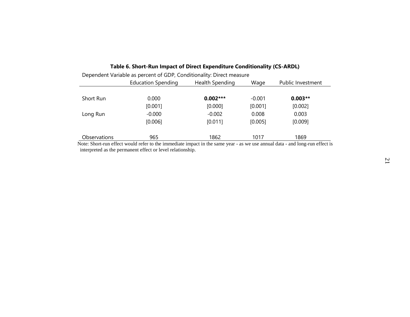|              | <b>Education Spending</b> | Health Spending | Wage     | Public Investment |
|--------------|---------------------------|-----------------|----------|-------------------|
| Short Run    | 0.000                     | $0.002***$      | $-0.001$ | $0.003**$         |
|              | [0.001]                   | [0.000]         | [0.001]  | [0.002]           |
| Long Run     | $-0.000$                  | $-0.002$        | 0.008    | 0.003             |
|              | [0.006]                   | [0.011]         | [0.005]  | [0.009]           |
| Observations | 965                       | 1862            | 1017     | 1869              |

# **Table 6. Short-Run Impact of Direct Expenditure Conditionality (CS-ARDL)**<br>
Sendent Variable as norsent of GDD Conditionality Direct measure.

 $D$ ependent Variable as persent of  $CDD$ , Conditionality: Direct

 Note: Short-run effect would refer to the immediate impact in the same year - as we use annual data - and long-run effect is interpreted as the permanent effect or level relationship.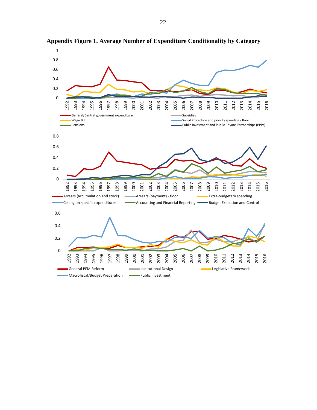

**Appendix Figure 1. Average Number of Expenditure Conditionality by Category**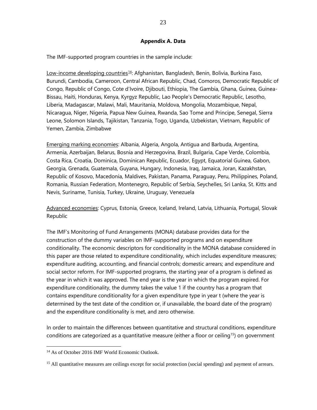#### **Appendix A. Data**

The IMF-supported program countries in the sample include:

Low-income developing countries<sup>14</sup>: Afghanistan, Bangladesh, Benin, Bolivia, Burkina Faso, Burundi, Cambodia, Cameroon, Central African Republic, Chad, Comoros, Democratic Republic of Congo, Republic of Congo, Cote d'Ivoire, Djibouti, Ethiopia, The Gambia, Ghana, Guinea, Guinea-Bissau, Haiti, Honduras, Kenya, Kyrgyz Republic, Lao People's Democratic Republic, Lesotho, Liberia, Madagascar, Malawi, Mali, Mauritania, Moldova, Mongolia, Mozambique, Nepal, Nicaragua, Niger, Nigeria, Papua New Guinea, Rwanda, Sao Tome and Principe, Senegal, Sierra Leone, Solomon Islands, Tajikistan, Tanzania, Togo, Uganda, Uzbekistan, Vietnam, Republic of Yemen, Zambia, Zimbabwe

Emerging marking economies: Albania, Algeria, Angola, Antigua and Barbuda, Argentina, Armenia, Azerbaijan, Belarus, Bosnia and Herzegovina, Brazil, Bulgaria, Cape Verde, Colombia, Costa Rica, Croatia, Dominica, Dominican Republic, Ecuador, Egypt, Equatorial Guinea, Gabon, Georgia, Grenada, Guatemala, Guyana, Hungary, Indonesia, Iraq, Jamaica, Joran, Kazakhstan, Republic of Kosovo, Macedonia, Maldives, Pakistan, Panama, Paraguay, Peru, Philippines, Poland, Romania, Russian Federation, Montenegro, Republic of Serbia, Seychelles, Sri Lanka, St. Kitts and Nevis, Suriname, Tunisia, Turkey, Ukraine, Uruguay, Venezuela

Advanced economies: Cyprus, Estonia, Greece, Iceland, Ireland, Latvia, Lithuania, Portugal, Slovak Republic

The IMF's Monitoring of Fund Arrangements (MONA) database provides data for the construction of the dummy variables on IMF-supported programs and on expenditure conditionality. The economic descriptors for conditionality in the MONA database considered in this paper are those related to expenditure conditionality, which includes expenditure measures; expenditure auditing, accounting, and financial controls; domestic arrears; and expenditure and social sector reform. For IMF-supported programs, the starting year of a program is defined as the year in which it was approved. The end year is the year in which the program expired. For expenditure conditionality, the dummy takes the value 1 if the country has a program that contains expenditure conditionality for a given expenditure type in year t (where the year is determined by the test date of the condition or, if unavailable, the board date of the program) and the expenditure conditionality is met, and zero otherwise.

In order to maintain the differences between quantitative and structural conditions, expenditure conditions are categorized as a quantitative measure (either a floor or ceiling<sup>15</sup>) on government

<span id="page-22-0"></span><sup>&</sup>lt;sup>14</sup> As of October 2016 IMF World Economic Outlook.

<span id="page-22-1"></span><sup>&</sup>lt;sup>15</sup> All quantitative measures are ceilings except for social protection (social spending) and payment of arrears.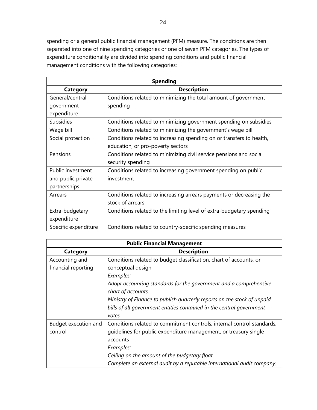spending or a general public financial management (PFM) measure. The conditions are then separated into one of nine spending categories or one of seven PFM categories. The types of expenditure conditionality are divided into spending conditions and public financial management conditions with the following categories:

| <b>Spending</b>      |                                                                      |  |  |  |  |  |  |  |
|----------------------|----------------------------------------------------------------------|--|--|--|--|--|--|--|
| <b>Category</b>      | <b>Description</b>                                                   |  |  |  |  |  |  |  |
| General/central      | Conditions related to minimizing the total amount of government      |  |  |  |  |  |  |  |
| government           | spending                                                             |  |  |  |  |  |  |  |
| expenditure          |                                                                      |  |  |  |  |  |  |  |
| <b>Subsidies</b>     | Conditions related to minimizing government spending on subsidies    |  |  |  |  |  |  |  |
| Wage bill            | Conditions related to minimizing the government's wage bill          |  |  |  |  |  |  |  |
| Social protection    | Conditions related to increasing spending on or transfers to health, |  |  |  |  |  |  |  |
|                      | education, or pro-poverty sectors                                    |  |  |  |  |  |  |  |
| Pensions             | Conditions related to minimizing civil service pensions and social   |  |  |  |  |  |  |  |
|                      | security spending                                                    |  |  |  |  |  |  |  |
| Public investment    | Conditions related to increasing government spending on public       |  |  |  |  |  |  |  |
| and public private   | investment                                                           |  |  |  |  |  |  |  |
| partnerships         |                                                                      |  |  |  |  |  |  |  |
| Arrears              | Conditions related to increasing arrears payments or decreasing the  |  |  |  |  |  |  |  |
|                      | stock of arrears                                                     |  |  |  |  |  |  |  |
| Extra-budgetary      | Conditions related to the limiting level of extra-budgetary spending |  |  |  |  |  |  |  |
| expenditure          |                                                                      |  |  |  |  |  |  |  |
| Specific expenditure | Conditions related to country-specific spending measures             |  |  |  |  |  |  |  |

| <b>Public Financial Management</b> |                                                                         |  |  |  |  |  |  |  |
|------------------------------------|-------------------------------------------------------------------------|--|--|--|--|--|--|--|
| <b>Category</b>                    | <b>Description</b>                                                      |  |  |  |  |  |  |  |
| Accounting and                     | Conditions related to budget classification, chart of accounts, or      |  |  |  |  |  |  |  |
| financial reporting                | conceptual design                                                       |  |  |  |  |  |  |  |
|                                    | Examples:                                                               |  |  |  |  |  |  |  |
|                                    | Adopt accounting standards for the government and a comprehensive       |  |  |  |  |  |  |  |
|                                    | chart of accounts.                                                      |  |  |  |  |  |  |  |
|                                    | Ministry of Finance to publish quarterly reports on the stock of unpaid |  |  |  |  |  |  |  |
|                                    | bills of all government entities contained in the central government    |  |  |  |  |  |  |  |
|                                    | votes.                                                                  |  |  |  |  |  |  |  |
| Budget execution and               | Conditions related to commitment controls, internal control standards,  |  |  |  |  |  |  |  |
| control                            | quidelines for public expenditure management, or treasury single        |  |  |  |  |  |  |  |
|                                    | accounts                                                                |  |  |  |  |  |  |  |
|                                    | Examples:                                                               |  |  |  |  |  |  |  |
|                                    | Ceiling on the amount of the budgetary float.                           |  |  |  |  |  |  |  |
|                                    | Complete an external audit by a reputable international audit company.  |  |  |  |  |  |  |  |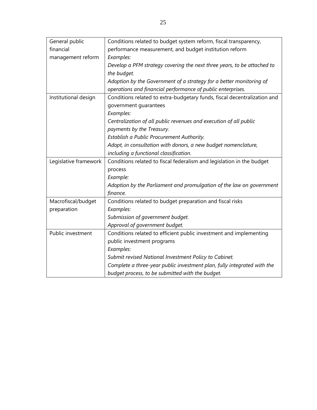| General public        | Conditions related to budget system reform, fiscal transparency,         |
|-----------------------|--------------------------------------------------------------------------|
| financial             | performance measurement, and budget institution reform                   |
| management reform     | Examples:                                                                |
|                       | Develop a PFM strategy covering the next three years, to be attached to  |
|                       | the budget.                                                              |
|                       | Adoption by the Government of a strategy for a better monitoring of      |
|                       | operations and financial performance of public enterprises.              |
| Institutional design  | Conditions related to extra-budgetary funds, fiscal decentralization and |
|                       | government guarantees                                                    |
|                       | Examples:                                                                |
|                       | Centralization of all public revenues and execution of all public        |
|                       | payments by the Treasury.                                                |
|                       | Establish a Public Procurement Authority.                                |
|                       | Adopt, in consultation with donors, a new budget nomenclature,           |
|                       | including a functional classification.                                   |
| Legislative framework | Conditions related to fiscal federalism and legislation in the budget    |
|                       | process                                                                  |
|                       | Example:                                                                 |
|                       | Adoption by the Parliament and promulgation of the law on government     |
|                       | finance.                                                                 |
| Macrofiscal/budget    | Conditions related to budget preparation and fiscal risks                |
| preparation           | Examples:                                                                |
|                       | Submission of government budget.                                         |
|                       | Approval of government budget.                                           |
| Public investment     | Conditions related to efficient public investment and implementing       |
|                       | public investment programs                                               |
|                       | Examples:                                                                |
|                       |                                                                          |
|                       | Submit revised National Investment Policy to Cabinet.                    |
|                       | Complete a three-year public investment plan, fully integrated with the  |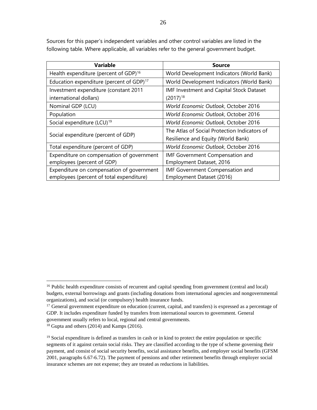Sources for this paper's independent variables and other control variables are listed in the following table. Where applicable, all variables refer to the general government budget.

| Variable                                             | <b>Source</b>                                |
|------------------------------------------------------|----------------------------------------------|
| Health expenditure (percent of GDP) <sup>16</sup>    | World Development Indicators (World Bank)    |
| Education expenditure (percent of GDP) <sup>17</sup> | World Development Indicators (World Bank)    |
| Investment expenditure (constant 2011                | IMF Investment and Capital Stock Dataset     |
| international dollars)                               | $(2017)^{18}$                                |
| Nominal GDP (LCU)                                    | World Economic Outlook, October 2016         |
| Population                                           | World Economic Outlook, October 2016         |
| Social expenditure (LCU) <sup>19</sup>               | <b>World Economic Outlook, October 2016</b>  |
| Social expenditure (percent of GDP)                  | The Atlas of Social Protection Indicators of |
|                                                      | Resilience and Equity (World Bank)           |
| Total expenditure (percent of GDP)                   | World Economic Outlook, October 2016         |
| Expenditure on compensation of government            | <b>IMF Government Compensation and</b>       |
| employees (percent of GDP)                           | Employment Dataset, 2016                     |
| Expenditure on compensation of government            | IMF Government Compensation and              |
| employees (percent of total expenditure)             | Employment Dataset (2016)                    |

<span id="page-25-0"></span><sup>&</sup>lt;sup>16</sup> Public health expenditure consists of recurrent and capital spending from government (central and local) budgets, external borrowings and grants (including donations from international agencies and nongovernmental organizations), and social (or compulsory) health insurance funds.

<span id="page-25-1"></span><sup>&</sup>lt;sup>17</sup> General government expenditure on education (current, capital, and transfers) is expressed as a percentage of GDP. It includes expenditure funded by transfers from international sources to government. General government usually refers to local, regional and central governments.

<span id="page-25-2"></span> $18$  Gupta and others (2014) and Kamps (2016).

<span id="page-25-3"></span><sup>&</sup>lt;sup>19</sup> Social expenditure is defined as transfers in cash or in kind to protect the entire population or specific segments of it against certain social risks. They are classified according to the type of scheme governing their payment, and consist of social security benefits, social assistance benefits, and employer social benefits (GFSM 2001, paragraphs 6.67-6.72). The payment of pensions and other retirement benefits through employer social insurance schemes are not expense; they are treated as reductions in liabilities.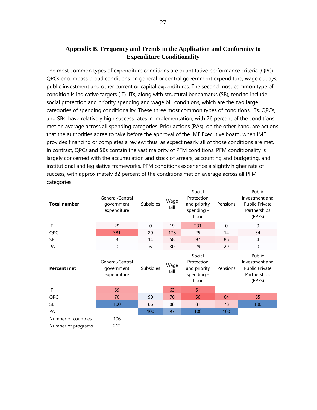# **Appendix B. Frequency and Trends in the Application and Conformity to Expenditure Conditionality**

The most common types of expenditure conditions are quantitative performance criteria (QPC). QPCs encompass broad conditions on general or central government expenditure, wage outlays, public investment and other current or capital expenditures. The second most common type of condition is indicative targets (IT). ITs, along with structural benchmarks (SB), tend to include social protection and priority spending and wage bill conditions, which are the two large categories of spending conditionality. These three most common types of conditions, ITs, QPCs, and SBs, have relatively high success rates in implementation, with 76 percent of the conditions met on average across all spending categories. Prior actions (PAs), on the other hand, are actions that the authorities agree to take before the approval of the IMF Executive board, when IMF provides financing or completes a review; thus, as expect nearly all of those conditions are met. In contrast, QPCs and SBs contain the vast majority of PFM conditions. PFM conditionality is largely concerned with the accumulation and stock of arrears, accounting and budgeting, and institutional and legislative frameworks. PFM conditions experience a slightly higher rate of success, with approximately 82 percent of the conditions met on average across all PFM categories.

| <b>Total number</b> | General/Central<br>government<br>expenditure | <b>Subsidies</b> | Wage<br>Bill | Social<br>Protection<br>and priority<br>spending -<br>floor | Pensions | Public<br>Investment and<br><b>Public Private</b><br>Partnerships<br>(PPPs) |
|---------------------|----------------------------------------------|------------------|--------------|-------------------------------------------------------------|----------|-----------------------------------------------------------------------------|
| IT                  | 29                                           | 0                | 19           | 231                                                         | 0        | 0                                                                           |
| QPC                 | 381                                          | 20               | 178          | 25                                                          | 14       | 34                                                                          |
| <b>SB</b>           | 3                                            | 14               | 58           | 97                                                          | 86       | 4                                                                           |
| PA                  | 0                                            | 6                | 30           | 29                                                          | 29       | $\mathbf 0$                                                                 |
| <b>Percent met</b>  | General/Central<br>government<br>expenditure | Subsidies        | Wage<br>Bill | Social<br>Protection<br>and priority<br>spending -<br>floor | Pensions | Public<br>Investment and<br><b>Public Private</b><br>Partnerships<br>(PPPs) |
| IT                  | 69                                           |                  | 63           | 61                                                          |          |                                                                             |
| QPC                 | 70                                           | 90               | 70           | 56                                                          | 64       | 65                                                                          |
| <b>SB</b>           | 100                                          | 86               | 88           | 81                                                          | 78       | 100                                                                         |
| PA                  |                                              | 100              | 97           | 100                                                         | 100      |                                                                             |
| Number of countries | 106                                          |                  |              |                                                             |          |                                                                             |
| Number of programs  | 212                                          |                  |              |                                                             |          |                                                                             |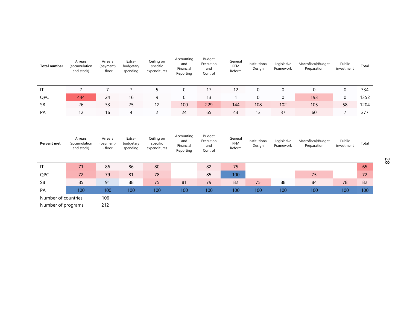| <b>Total number</b> | Arrears<br>(accumulation<br>and stock) | Arrears<br>(payment)<br>- floor | Extra-<br>budgetary<br>spending | Ceiling on<br>specific<br>expenditures | Accounting<br>and<br>Financial<br>Reporting | Budget<br>Execution<br>and<br>Control | General<br><b>PFM</b><br>Reform | Institutional<br>Design | Legislative<br>Framework | Macrofiscal/Budget<br>Preparation | Public<br>investment | Total |
|---------------------|----------------------------------------|---------------------------------|---------------------------------|----------------------------------------|---------------------------------------------|---------------------------------------|---------------------------------|-------------------------|--------------------------|-----------------------------------|----------------------|-------|
| ΙT                  |                                        |                                 |                                 |                                        | 0                                           | 17                                    | 12                              | 0                       | 0                        | 0                                 | 0                    | 334   |
| QPC                 | 444                                    | 24                              | 16                              | 9                                      | 0                                           | 13                                    |                                 | 0                       | 0                        | 193                               | 0                    | 1352  |
| SB                  | 26                                     | 33                              | 25                              | 12                                     | 100                                         | 229                                   | 144                             | 108                     | 102                      | 105                               | 58                   | 1204  |
| PA                  | 12                                     | 16                              | 4                               |                                        | 24                                          | 65                                    | 43                              | 13                      | 37                       | 60                                |                      | 377   |

| <b>Percent met</b>  | Arrears<br>(accumulation<br>and stock) | Arrears<br>(payment)<br>- floor | Extra-<br>budgetary<br>spending | Ceiling on<br>specific<br>expenditures | Accounting<br>and<br>Financial<br>Reporting | Budget<br>Execution<br>and<br>Control | General<br>PFM<br>Reform | Institutional<br>Design | Legislative<br>Framework | Macrofiscal/Budget<br>Preparation | Public<br>investment | Total |
|---------------------|----------------------------------------|---------------------------------|---------------------------------|----------------------------------------|---------------------------------------------|---------------------------------------|--------------------------|-------------------------|--------------------------|-----------------------------------|----------------------|-------|
| IT                  | 71                                     | 86                              | 86                              | 80                                     |                                             | 82                                    | 75                       |                         |                          |                                   |                      | 65    |
| QPC                 | 72                                     | 79                              | 81                              | 78                                     |                                             | 85                                    | 100                      |                         |                          | 75                                |                      | 72    |
| SB                  | 85                                     | 91                              | 88                              | 75                                     | 81                                          | 79                                    | 82                       | 75                      | 88                       | 84                                | 78                   | 82    |
| PA                  | 100 <sup>1</sup>                       | 100                             | 100                             | 100                                    | 100                                         | 100                                   | 100                      | 100                     | 100                      | 100                               | 100                  | 100   |
| Number of countries |                                        | 106                             |                                 |                                        |                                             |                                       |                          |                         |                          |                                   |                      |       |

Number of programs 212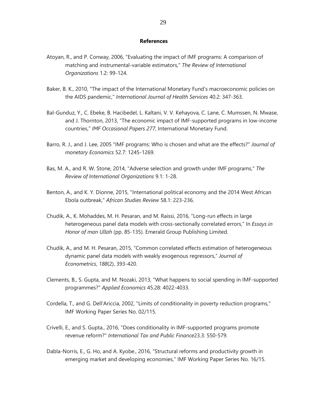#### **References**

- Atoyan, R., and P. Conway, 2006, "Evaluating the impact of IMF programs: A comparison of matching and instrumental-variable estimators," *The Review of International Organizations* 1.2: 99-124.
- Baker, B. K., 2010, "The impact of the International Monetary Fund's macroeconomic policies on the AIDS pandemic," *International Journal of Health Services* 40.2: 347-363.
- Bal-Gunduz, Y., C. Ebeke, B. Hacibedel, L. Kaltani, V. V. Kehayova, C. Lane, C. Mumssen, N. Mwase, and J. Thornton, 2013, "The economic impact of IMF-supported programs in low-income countries," *IMF Occasional Papers 277*, International Monetary Fund.
- Barro, R. J., and J. Lee, 2005 "IMF programs: Who is chosen and what are the effects?" *Journal of monetary Economics* 52.7: 1245-1269.
- Bas, M. A., and R. W. Stone, 2014, "Adverse selection and growth under IMF programs," *The Review of International Organizations* 9.1: 1-28.
- Benton, A., and K. Y. Dionne, 2015, "International political economy and the 2014 West African Ebola outbreak," *African Studies Review* 58.1: 223-236.
- Chudik, A., K. Mohaddes, M. H. Pesaran, and M. Raissi, 2016, "Long-run effects in large heterogeneous panel data models with cross-sectionally correlated errors," In *Essays in Honor of man Ullah* (pp. 85-135). Emerald Group Publishing Limited.
- Chudik, A., and M. H. Pesaran, 2015, "Common correlated effects estimation of heterogeneous dynamic panel data models with weakly exogenous regressors," *Journal of Econometrics*, *188*(2), 393-420.
- Clements, B., S. Gupta, and M. Nozaki, 2013, "What happens to social spending in IMF-supported programmes?" *Applied Economics* 45.28: 4022-4033.
- Cordella, T., and G. Dell'Ariccia, 2002, "Limits of conditionality in poverty reduction programs," IMF Working Paper Series No. 02/115.
- Crivelli, E., and S. Gupta., 2016, "Does conditionality in IMF-supported programs promote revenue reform?" *International Tax and Public Finance*23.3: 550-579.
- Dabla-Norris, E., G. Ho, and A. Kyobe., 2016, "Structural reforms and productivity growth in emerging market and developing economies," IMF Working Paper Series No. 16/15.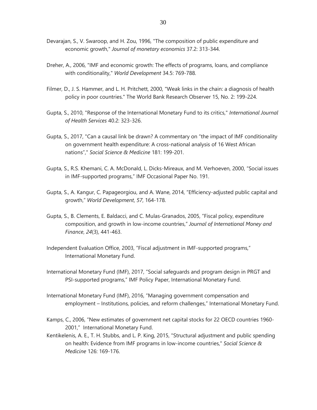- Devarajan, S., V. Swaroop, and H. Zou, 1996, "The composition of public expenditure and economic growth," *Journal of monetary economics* 37.2: 313-344.
- Dreher, A., 2006, "IMF and economic growth: The effects of programs, loans, and compliance with conditionality," *World Development* 34.5: 769-788.
- Filmer, D., J. S. Hammer, and L. H. Pritchett, 2000, "Weak links in the chain: a diagnosis of health policy in poor countries." The World Bank Research Observer 15, No. 2: 199-224.
- Gupta, S., 2010, "Response of the International Monetary Fund to its critics," *International Journal of Health Services* 40.2: 323-326.
- Gupta, S., 2017, "Can a causal link be drawn? A commentary on "the impact of IMF conditionality on government health expenditure: A cross-national analysis of 16 West African nations"," *Social Science & Medicine* 181: 199-201.
- Gupta, S., R.S. Khemani, C. A. McDonald, L. Dicks-Mireaux, and M. Verhoeven, 2000, "Social issues in IMF-supported programs," IMF Occasional Paper No. 191.
- Gupta, S., A. Kangur, C. Papageorgiou, and A. Wane, 2014, "Efficiency-adjusted public capital and growth," *World Development*, *57*, 164-178.
- Gupta, S., B. Clements, E. Baldacci, and C. Mulas-Granados, 2005, "Fiscal policy, expenditure composition, and growth in low-income countries," *Journal of International Money and Finance*, *24*(3), 441-463.
- Independent Evaluation Office, 2003, "Fiscal adjustment in IMF-supported programs," International Monetary Fund.
- International Monetary Fund (IMF), 2017, "Social safeguards and program design in PRGT and PSI-supported programs," IMF Policy Paper, International Monetary Fund.
- International Monetary Fund (IMF), 2016, "Managing government compensation and employment – Institutions, policies, and reform challenges," International Monetary Fund.
- Kamps, C., 2006, "New estimates of government net capital stocks for 22 OECD countries 1960- 2001," International Monetary Fund.
- Kentikelenis, A. E., T. H. Stubbs, and L. P. King, 2015, "Structural adjustment and public spending on health: Evidence from IMF programs in low-income countries," *Social Science & Medicine* 126: 169-176.